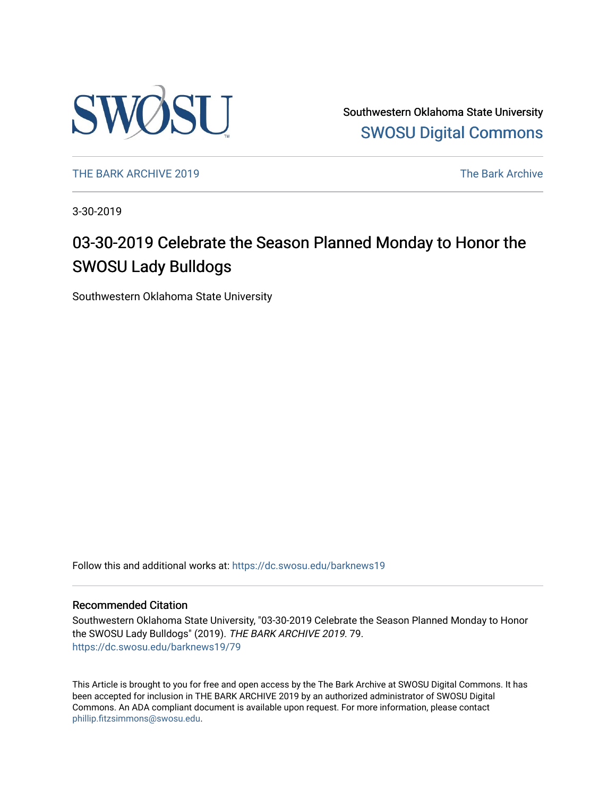

Southwestern Oklahoma State University [SWOSU Digital Commons](https://dc.swosu.edu/) 

[THE BARK ARCHIVE 2019](https://dc.swosu.edu/barknews19) The Bark Archive

3-30-2019

### 03-30-2019 Celebrate the Season Planned Monday to Honor the SWOSU Lady Bulldogs

Southwestern Oklahoma State University

Follow this and additional works at: [https://dc.swosu.edu/barknews19](https://dc.swosu.edu/barknews19?utm_source=dc.swosu.edu%2Fbarknews19%2F79&utm_medium=PDF&utm_campaign=PDFCoverPages)

#### Recommended Citation

Southwestern Oklahoma State University, "03-30-2019 Celebrate the Season Planned Monday to Honor the SWOSU Lady Bulldogs" (2019). THE BARK ARCHIVE 2019. 79. [https://dc.swosu.edu/barknews19/79](https://dc.swosu.edu/barknews19/79?utm_source=dc.swosu.edu%2Fbarknews19%2F79&utm_medium=PDF&utm_campaign=PDFCoverPages) 

This Article is brought to you for free and open access by the The Bark Archive at SWOSU Digital Commons. It has been accepted for inclusion in THE BARK ARCHIVE 2019 by an authorized administrator of SWOSU Digital Commons. An ADA compliant document is available upon request. For more information, please contact [phillip.fitzsimmons@swosu.edu](mailto:phillip.fitzsimmons@swosu.edu).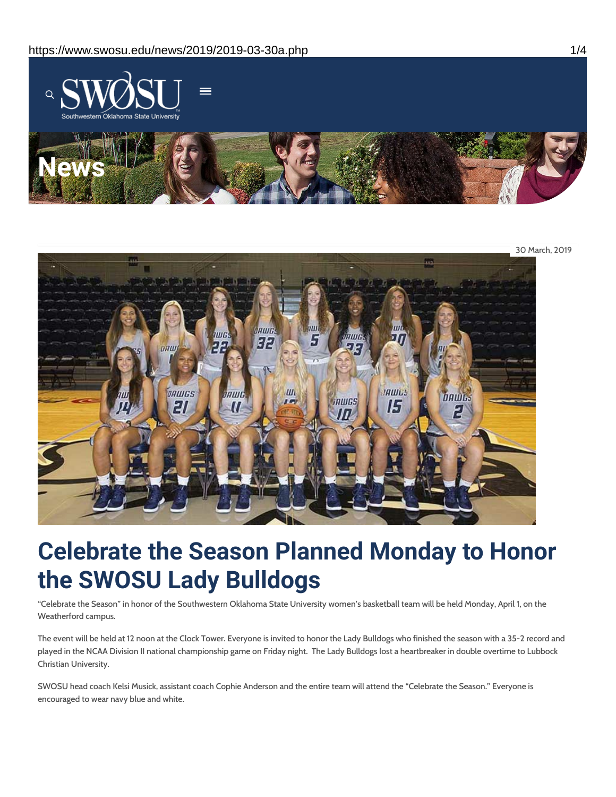



# **Celebrate the Season Planned Monday to Honor the SWOSU Lady Bulldogs**

"Celebrate the Season" in honor of the Southwestern Oklahoma State University women's basketball team will be held Monday, April 1, on the Weatherford campus.

The event will be held at 12 noon at the Clock Tower. Everyone is invited to honor the Lady Bulldogs who finished the season with a 35-2 record and played in the NCAA Division II national championship game on Friday night. The Lady Bulldogs lost a heartbreaker in double overtime to Lubbock Christian University.

SWOSU head coach Kelsi Musick, assistant coach Cophie Anderson and the entire team will attend the "Celebrate the Season." Everyone is encouraged to wear navy blue and white.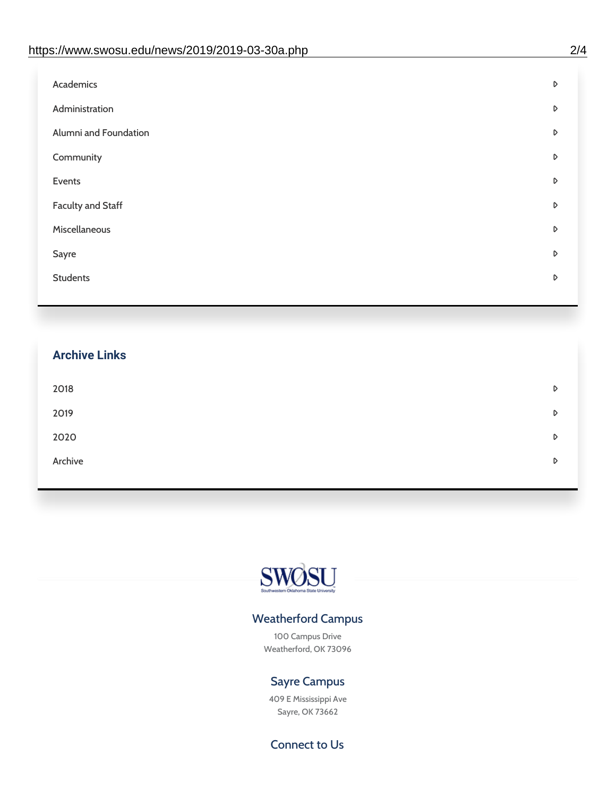| Administration<br>D<br>Alumni and Foundation<br>D<br>Community<br>D<br>Events<br>D | Academics | D |
|------------------------------------------------------------------------------------|-----------|---|
|                                                                                    |           |   |
|                                                                                    |           |   |
|                                                                                    |           |   |
|                                                                                    |           |   |
| <b>Faculty and Staff</b><br>D                                                      |           |   |
| Miscellaneous<br>D                                                                 |           |   |
| Sayre<br>D                                                                         |           |   |
| <b>Students</b><br>D                                                               |           |   |

## **Archive Links**  $2018$  $2019$ [2020](https://www.swosu.edu/news/2020/index.php)  $\bullet$ [Archive](https://dc.swosu.edu/bark/) **Archive Archive Archive Archive Archive** Archive Archive Archive Archive Archive Archive Archive Archive



### Weatherford Campus

100 Campus Drive Weatherford, OK 73096

### Sayre Campus

409 E Mississippi Ave Sayre, OK 73662

Connect to Us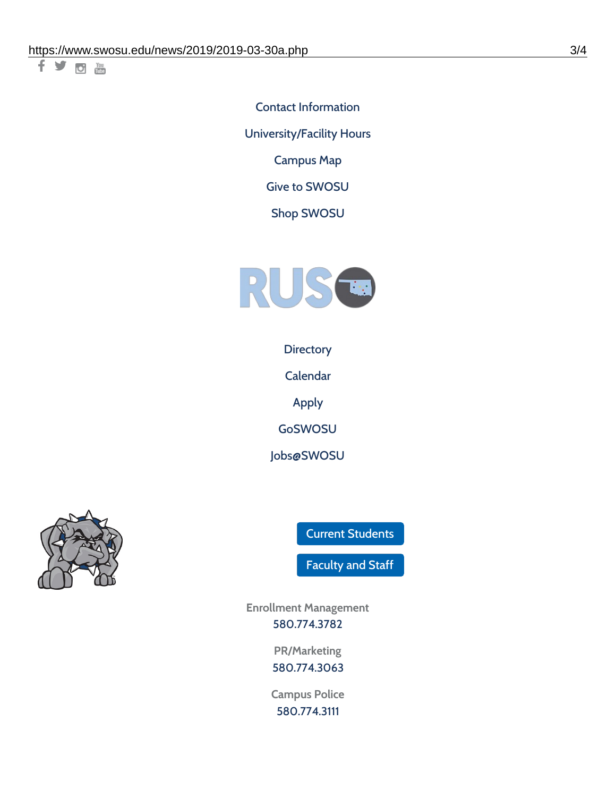千岁回调

Contact [Information](https://www.swosu.edu/about/contact.php) [University/Facility](https://www.swosu.edu/about/operating-hours.php) Hours [Campus](https://map.concept3d.com/?id=768#!ct/10964,10214,10213,10212,10205,10204,10203,10202,10136,10129,10128,0,31226,10130,10201,10641,0) Map

Give to [SWOSU](https://standingfirmly.com/donate)

Shop [SWOSU](https://shopswosu.merchorders.com/)



**[Directory](https://www.swosu.edu/directory/index.php)** 

[Calendar](https://eventpublisher.dudesolutions.com/swosu/)

[Apply](https://www.swosu.edu/admissions/apply-to-swosu.php)

[GoSWOSU](https://qlsso.quicklaunchsso.com/home/1267)

[Jobs@SWOSU](https://swosu.csod.com/ux/ats/careersite/1/home?c=swosu)



Current [Students](https://bulldog.swosu.edu/index.php)

[Faculty](https://bulldog.swosu.edu/faculty-staff/index.php) and Staff

**Enrollment Management** [580.774.3782](tel:5807743782)

> **PR/Marketing** [580.774.3063](tel:5807743063)

**Campus Police** [580.774.3111](tel:5807743111)